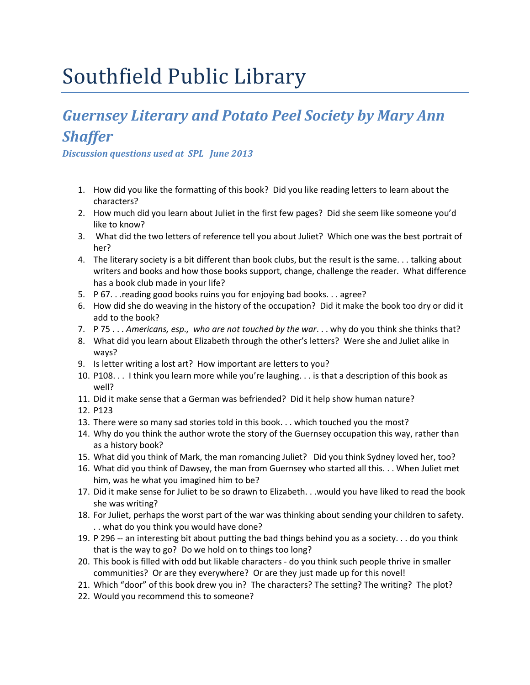## Southfield Public Library

### *Guernsey Literary and Potato Peel Society by Mary Ann Shaffer*

*Discussion questions used at SPL June 2013*

- 1. How did you like the formatting of this book? Did you like reading letters to learn about the characters?
- 2. How much did you learn about Juliet in the first few pages? Did she seem like someone you'd like to know?
- 3. What did the two letters of reference tell you about Juliet? Which one was the best portrait of her?
- 4. The literary society is a bit different than book clubs, but the result is the same. . . talking about writers and books and how those books support, change, challenge the reader. What difference has a book club made in your life?
- 5. P 67. . .reading good books ruins you for enjoying bad books. . . agree?
- 6. How did she do weaving in the history of the occupation? Did it make the book too dry or did it add to the book?
- 7. P 75 . . . *Americans, esp., who are not touched by the war*. . . why do you think she thinks that?
- 8. What did you learn about Elizabeth through the other's letters? Were she and Juliet alike in ways?
- 9. Is letter writing a lost art? How important are letters to you?
- 10. P108. . . I think you learn more while you're laughing. . . is that a description of this book as well?
- 11. Did it make sense that a German was befriended? Did it help show human nature?
- 12. P123
- 13. There were so many sad stories told in this book. . . which touched you the most?
- 14. Why do you think the author wrote the story of the Guernsey occupation this way, rather than as a history book?
- 15. What did you think of Mark, the man romancing Juliet? Did you think Sydney loved her, too?
- 16. What did you think of Dawsey, the man from Guernsey who started all this. . . When Juliet met him, was he what you imagined him to be?
- 17. Did it make sense for Juliet to be so drawn to Elizabeth. . .would you have liked to read the book she was writing?
- 18. For Juliet, perhaps the worst part of the war was thinking about sending your children to safety. . . what do you think you would have done?
- 19. P 296 -- an interesting bit about putting the bad things behind you as a society. . . do you think that is the way to go? Do we hold on to things too long?
- 20. This book is filled with odd but likable characters do you think such people thrive in smaller communities? Or are they everywhere? Or are they just made up for this novel!
- 21. Which "door" of this book drew you in? The characters? The setting? The writing? The plot?
- 22. Would you recommend this to someone?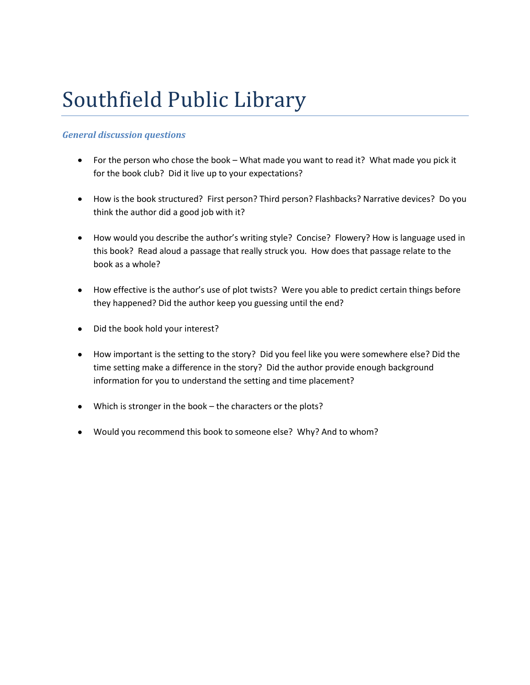# Southfield Public Library

### *General discussion questions*

- For the person who chose the book What made you want to read it? What made you pick it for the book club? Did it live up to your expectations?
- How is the book structured? First person? Third person? Flashbacks? Narrative devices? Do you think the author did a good job with it?
- How would you describe the author's writing style? Concise? Flowery? How is language used in this book? Read aloud a passage that really struck you. How does that passage relate to the book as a whole?
- How effective is the author's use of plot twists? Were you able to predict certain things before they happened? Did the author keep you guessing until the end?
- Did the book hold your interest?
- How important is the setting to the story? Did you feel like you were somewhere else? Did the time setting make a difference in the story? Did the author provide enough background information for you to understand the setting and time placement?
- Which is stronger in the book the characters or the plots?
- Would you recommend this book to someone else? Why? And to whom?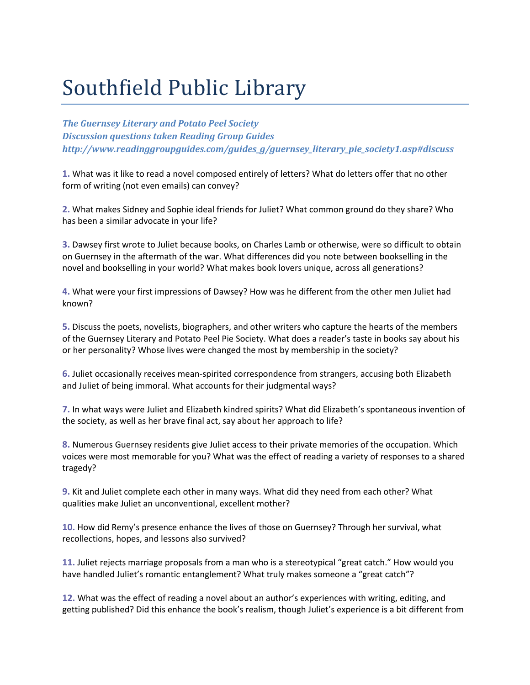# Southfield Public Library

*The Guernsey Literary and Potato Peel Society Discussion questions taken Reading Group Guides http://www.readinggroupguides.com/guides\_g/guernsey\_literary\_pie\_society1.asp#discuss*

**1.** What was it like to read a novel composed entirely of letters? What do letters offer that no other form of writing (not even emails) can convey?

**2.** What makes Sidney and Sophie ideal friends for Juliet? What common ground do they share? Who has been a similar advocate in your life?

**3.** Dawsey first wrote to Juliet because books, on Charles Lamb or otherwise, were so difficult to obtain on Guernsey in the aftermath of the war. What differences did you note between bookselling in the novel and bookselling in your world? What makes book lovers unique, across all generations?

**4.** What were your first impressions of Dawsey? How was he different from the other men Juliet had known?

**5.** Discuss the poets, novelists, biographers, and other writers who capture the hearts of the members of the Guernsey Literary and Potato Peel Pie Society. What does a reader's taste in books say about his or her personality? Whose lives were changed the most by membership in the society?

**6.** Juliet occasionally receives mean-spirited correspondence from strangers, accusing both Elizabeth and Juliet of being immoral. What accounts for their judgmental ways?

**7.** In what ways were Juliet and Elizabeth kindred spirits? What did Elizabeth's spontaneous invention of the society, as well as her brave final act, say about her approach to life?

**8.** Numerous Guernsey residents give Juliet access to their private memories of the occupation. Which voices were most memorable for you? What was the effect of reading a variety of responses to a shared tragedy?

**9.** Kit and Juliet complete each other in many ways. What did they need from each other? What qualities make Juliet an unconventional, excellent mother?

**10.** How did Remy's presence enhance the lives of those on Guernsey? Through her survival, what recollections, hopes, and lessons also survived?

**11.** Juliet rejects marriage proposals from a man who is a stereotypical "great catch." How would you have handled Juliet's romantic entanglement? What truly makes someone a "great catch"?

**12.** What was the effect of reading a novel about an author's experiences with writing, editing, and getting published? Did this enhance the book's realism, though Juliet's experience is a bit different from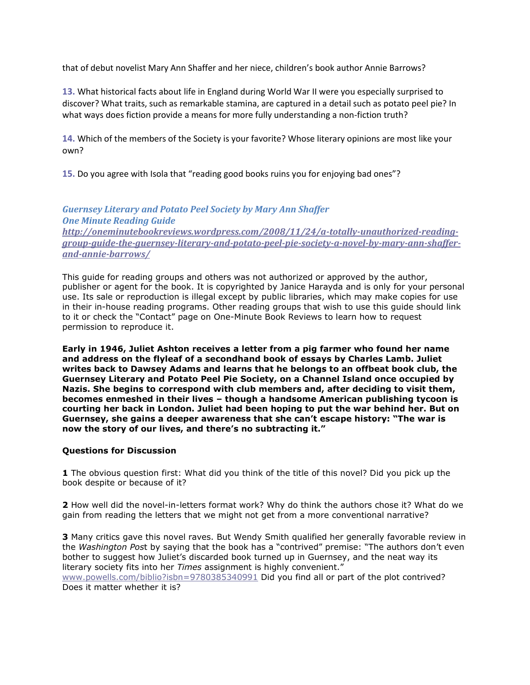that of debut novelist Mary Ann Shaffer and her niece, children's book author Annie Barrows?

**13.** What historical facts about life in England during World War II were you especially surprised to discover? What traits, such as remarkable stamina, are captured in a detail such as potato peel pie? In what ways does fiction provide a means for more fully understanding a non-fiction truth?

**14.** Which of the members of the Society is your favorite? Whose literary opinions are most like your own?

**15.** Do you agree with Isola that "reading good books ruins you for enjoying bad ones"?

#### *Guernsey Literary and Potato Peel Society by Mary Ann Shaffer One Minute Reading Guide [http://oneminutebookreviews.wordpress.com/2008/11/24/a-totally-unauthorized-reading](http://oneminutebookreviews.wordpress.com/2008/11/24/a-totally-unauthorized-reading-group-guide-the-guernsey-literary-and-potato-peel-pie-society-a-novel-by-mary-ann-shaffer-and-annie-barrows/)[group-guide-the-guernsey-literary-and-potato-peel-pie-society-a-novel-by-mary-ann-shaffer](http://oneminutebookreviews.wordpress.com/2008/11/24/a-totally-unauthorized-reading-group-guide-the-guernsey-literary-and-potato-peel-pie-society-a-novel-by-mary-ann-shaffer-and-annie-barrows/)[and-annie-barrows/](http://oneminutebookreviews.wordpress.com/2008/11/24/a-totally-unauthorized-reading-group-guide-the-guernsey-literary-and-potato-peel-pie-society-a-novel-by-mary-ann-shaffer-and-annie-barrows/)*

This guide for reading groups and others was not authorized or approved by the author, publisher or agent for the book. It is copyrighted by Janice Harayda and is only for your personal use. Its sale or reproduction is illegal except by public libraries, which may make copies for use in their in-house reading programs. Other reading groups that wish to use this guide should link to it or check the "Contact" page on One-Minute Book Reviews to learn how to request permission to reproduce it.

**Early in 1946, Juliet Ashton receives a letter from a pig farmer who found her name and address on the flyleaf of a secondhand book of essays by Charles Lamb. Juliet writes back to Dawsey Adams and learns that he belongs to an offbeat book club, the Guernsey Literary and Potato Peel Pie Society, on a Channel Island once occupied by Nazis. She begins to correspond with club members and, after deciding to visit them, becomes enmeshed in their lives – though a handsome American publishing tycoon is courting her back in London. Juliet had been hoping to put the war behind her. But on Guernsey, she gains a deeper awareness that she can't escape history: "The war is now the story of our lives, and there's no subtracting it."**

#### **Questions for Discussion**

**1** The obvious question first: What did you think of the title of this novel? Did you pick up the book despite or because of it?

**2** How well did the novel-in-letters format work? Why do think the authors chose it? What do we gain from reading the letters that we might not get from a more conventional narrative?

**3** Many critics gave this novel raves. But Wendy Smith qualified her generally favorable review in the *Washington Pos*t by saying that the book has a "contrived" premise: "The authors don't even bother to suggest how Juliet's discarded book turned up in Guernsey, and the neat way its literary society fits into her *Times* assignment is highly convenient." [www.powells.com/biblio?isbn=9780385340991](http://www.powells.com/biblio?isbn=9780385340991) Did you find all or part of the plot contrived? Does it matter whether it is?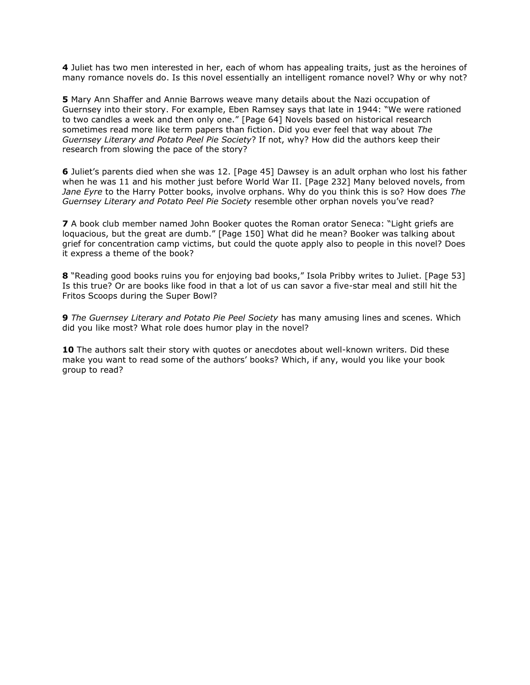**4** Juliet has two men interested in her, each of whom has appealing traits, just as the heroines of many romance novels do. Is this novel essentially an intelligent romance novel? Why or why not?

**5** Mary Ann Shaffer and Annie Barrows weave many details about the Nazi occupation of Guernsey into their story. For example, Eben Ramsey says that late in 1944: "We were rationed to two candles a week and then only one." [Page 64] Novels based on historical research sometimes read more like term papers than fiction. Did you ever feel that way about *The Guernsey Literary and Potato Peel Pie Society*? If not, why? How did the authors keep their research from slowing the pace of the story?

**6** Juliet's parents died when she was 12. [Page 45] Dawsey is an adult orphan who lost his father when he was 11 and his mother just before World War II. [Page 232] Many beloved novels, from *Jane Eyre* to the Harry Potter books, involve orphans. Why do you think this is so? How does *The Guernsey Literary and Potato Peel Pie Society* resemble other orphan novels you've read?

**7** A book club member named John Booker quotes the Roman orator Seneca: "Light griefs are loquacious, but the great are dumb." [Page 150] What did he mean? Booker was talking about grief for concentration camp victims, but could the quote apply also to people in this novel? Does it express a theme of the book?

**8** "Reading good books ruins you for enjoying bad books," Isola Pribby writes to Juliet. [Page 53] Is this true? Or are books like food in that a lot of us can savor a five-star meal and still hit the Fritos Scoops during the Super Bowl?

**9** *The Guernsey Literary and Potato Pie Peel Society* has many amusing lines and scenes. Which did you like most? What role does humor play in the novel?

**10** The authors salt their story with quotes or anecdotes about well-known writers. Did these make you want to read some of the authors' books? Which, if any, would you like your book group to read?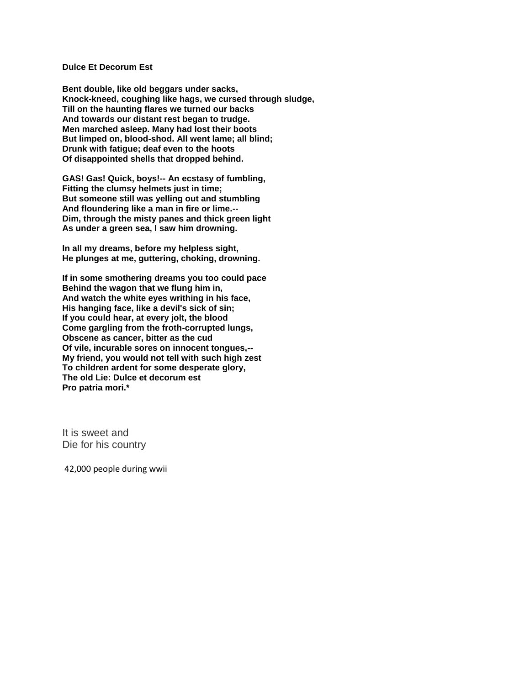#### **Dulce Et Decorum Est**

**Bent double, like old beggars under sacks, Knock-kneed, coughing like hags, we cursed through sludge, Till on the haunting flares we turned our backs And towards our distant rest began to trudge. Men marched asleep. Many had lost their boots But limped on, blood-shod. All went lame; all blind; Drunk with fatigue; deaf even to the hoots Of disappointed shells that dropped behind.**

**GAS! Gas! Quick, boys!-- An ecstasy of fumbling, Fitting the clumsy helmets just in time; But someone still was yelling out and stumbling And floundering like a man in fire or lime.-- Dim, through the misty panes and thick green light As under a green sea, I saw him drowning.**

**In all my dreams, before my helpless sight, He plunges at me, guttering, choking, drowning.**

**If in some smothering dreams you too could pace Behind the wagon that we flung him in, And watch the white eyes writhing in his face, His hanging face, like a devil's sick of sin; If you could hear, at every jolt, the blood Come gargling from the froth-corrupted lungs, Obscene as cancer, bitter as the cud Of vile, incurable sores on innocent tongues,-- My friend, you would not tell with such high zest To children ardent for some desperate glory, The old Lie: Dulce et decorum est Pro patria mori.\***

It is sweet and Die for his country

42,000 people during wwii